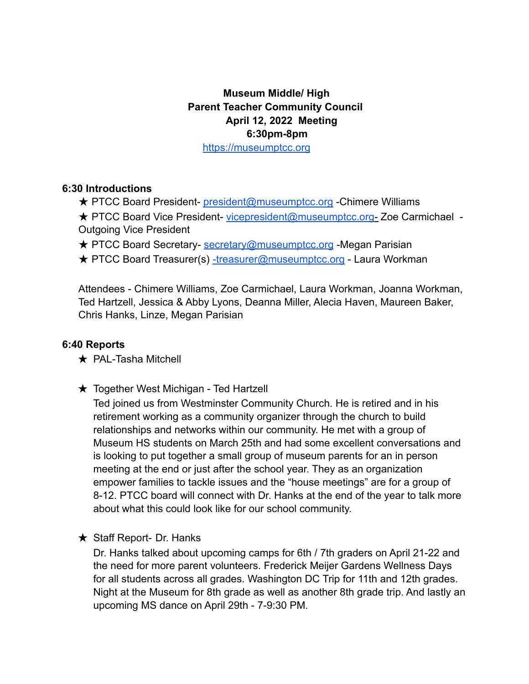## **Museum Middle/ High Parent Teacher Community Council April 12, 2022 Meeting 6:30pm-8pm**

https://museumptcc.org

## **6:30 Introductions**

- **★ PTCC Board President-** president@museumptcc.org -Chimere Williams
- ★ PTCC Board Vice President- vicepresident@museumptcc.org- Zoe Carmichael Outgoing Vice President
- **★ PTCC Board Secretary-** secretary@museumptcc.org -Megan Parisian
- **★ PTCC Board Treasurer(s)** -treasurer@museumptcc.org Laura Workman

Attendees - Chimere Williams, Zoe Carmichael, Laura Workman, Joanna Workman, Ted Hartzell, Jessica & Abby Lyons, Deanna Miller, Alecia Haven, Maureen Baker, Chris Hanks, Linze, Megan Parisian

## **6:40 Reports**

- **★ PAL-Tasha Mitchell**
- **★ Together West Michigan Ted Hartzell**

Ted joined us from Westminster Community Church. He is retired and in his retirement working as a community organizer through the church to build relationships and networks within our community. He met with a group of Museum HS students on March 25th and had some excellent conversations and is looking to put together a small group of museum parents for an in person meeting at the end or just after the school year. They as an organization empower families to tackle issues and the "house meetings" are for a group of 8-12. PTCC board will connect with Dr. Hanks at the end of the year to talk more about what this could look like for our school community.

 $\star$  Staff Report- Dr. Hanks

Dr. Hanks talked about upcoming camps for 6th / 7th graders on April 21-22 and the need for more parent volunteers. Frederick Meijer Gardens Wellness Days for all students across all grades. Washington DC Trip for 11th and 12th grades. Night at the Museum for 8th grade as well as another 8th grade trip. And lastly an upcoming MS dance on April 29th - 7-9:30 PM.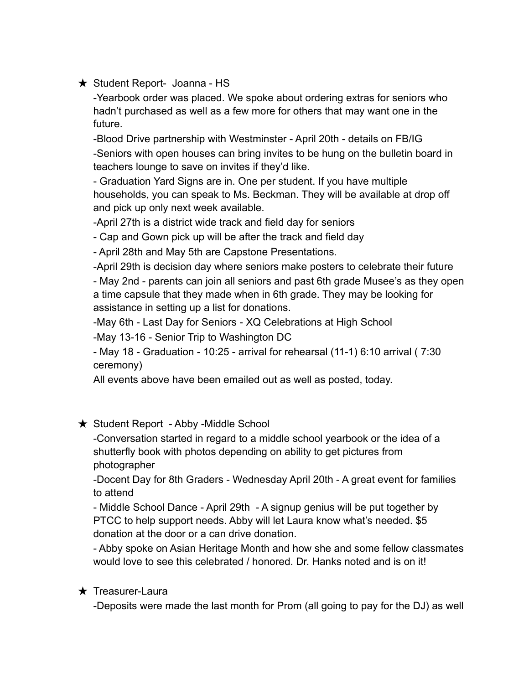## ★ Student Report- Joanna - HS

-Yearbook order was placed. We spoke about ordering extras for seniors who hadn't purchased as well as a few more for others that may want one in the future.

-Blood Drive partnership with Westminster - April 20th - details on FB/IG -Seniors with open houses can bring invites to be hung on the bulletin board in teachers lounge to save on invites if they'd like.

- Graduation Yard Signs are in. One per student. If you have multiple households, you can speak to Ms. Beckman. They will be available at drop off and pick up only next week available.

-April 27th is a district wide track and field day for seniors

- Cap and Gown pick up will be after the track and field day

- April 28th and May 5th are Capstone Presentations.

-April 29th is decision day where seniors make posters to celebrate their future

- May 2nd - parents can join all seniors and past 6th grade Musee's as they open a time capsule that they made when in 6th grade. They may be looking for assistance in setting up a list for donations.

-May 6th - Last Day for Seniors - XQ Celebrations at High School

-May 13-16 - Senior Trip to Washington DC

- May 18 - Graduation - 10:25 - arrival for rehearsal (11-1) 6:10 arrival ( 7:30 ceremony)

All events above have been emailed out as well as posted, today.

★ Student Report - Abby -Middle School

-Conversation started in regard to a middle school yearbook or the idea of a shutterfly book with photos depending on ability to get pictures from photographer

-Docent Day for 8th Graders - Wednesday April 20th - A great event for families to attend

- Middle School Dance - April 29th - A signup genius will be put together by PTCC to help support needs. Abby will let Laura know what's needed. \$5 donation at the door or a can drive donation.

- Abby spoke on Asian Heritage Month and how she and some fellow classmates would love to see this celebrated / honored. Dr. Hanks noted and is on it!

## ★ Treasurer-Laura

-Deposits were made the last month for Prom (all going to pay for the DJ) as well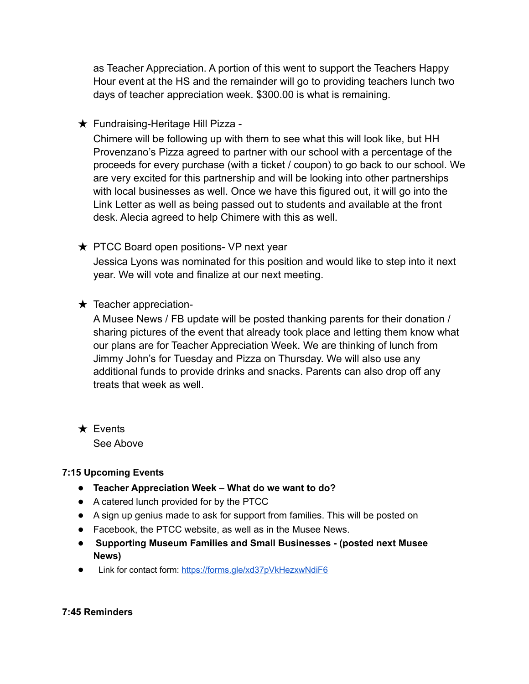as Teacher Appreciation. A portion of this went to support the Teachers Happy Hour event at the HS and the remainder will go to providing teachers lunch two days of teacher appreciation week. \$300.00 is what is remaining.

**★ Fundraising-Heritage Hill Pizza -**

Chimere will be following up with them to see what this will look like, but HH Provenzano's Pizza agreed to partner with our school with a percentage of the proceeds for every purchase (with a ticket / coupon) to go back to our school. We are very excited for this partnership and will be looking into other partnerships with local businesses as well. Once we have this figured out, it will go into the Link Letter as well as being passed out to students and available at the front desk. Alecia agreed to help Chimere with this as well.

**★ PTCC Board open positions- VP next year** 

Jessica Lyons was nominated for this position and would like to step into it next year. We will vote and finalize at our next meeting.

 $\star$  Teacher appreciation-

A Musee News / FB update will be posted thanking parents for their donation / sharing pictures of the event that already took place and letting them know what our plans are for Teacher Appreciation Week. We are thinking of lunch from Jimmy John's for Tuesday and Pizza on Thursday. We will also use any additional funds to provide drinks and snacks. Parents can also drop off any treats that week as well.

★ Events See Above

#### **7:15 Upcoming Events**

- **Teacher Appreciation Week – What do we want to do?**
- A catered lunch provided for by the PTCC
- A sign up genius made to ask for support from families. This will be posted on
- Facebook, the PTCC website, as well as in the Musee News.
- **Supporting Museum Families and Small Businesses - (posted next Musee News)**
- Link for contact form: <https://forms.gle/xd37pVkHezxwNdiF6>

#### **7:45 Reminders**